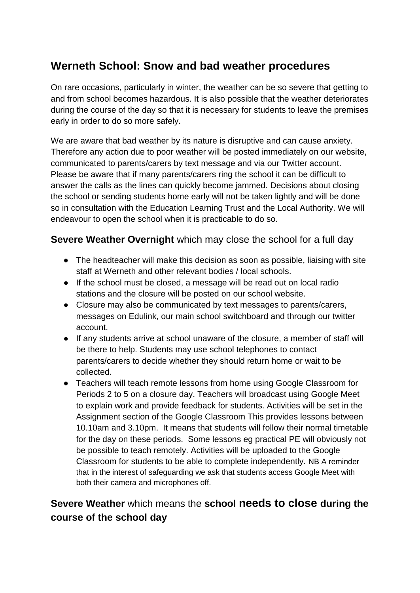# **Werneth School: Snow and bad weather procedures**

On rare occasions, particularly in winter, the weather can be so severe that getting to and from school becomes hazardous. It is also possible that the weather deteriorates during the course of the day so that it is necessary for students to leave the premises early in order to do so more safely.

We are aware that bad weather by its nature is disruptive and can cause anxiety. Therefore any action due to poor weather will be posted immediately on our website, communicated to parents/carers by text message and via our Twitter account. Please be aware that if many parents/carers ring the school it can be difficult to answer the calls as the lines can quickly become jammed. Decisions about closing the school or sending students home early will not be taken lightly and will be done so in consultation with the Education Learning Trust and the Local Authority. We will endeavour to open the school when it is practicable to do so.

#### **Severe Weather Overnight** which may close the school for a full day

- The headteacher will make this decision as soon as possible, liaising with site staff at Werneth and other relevant bodies / local schools.
- If the school must be closed, a message will be read out on local radio stations and the closure will be posted on our school website.
- Closure may also be communicated by text messages to parents/carers, messages on Edulink, our main school switchboard and through our twitter account.
- If any students arrive at school unaware of the closure, a member of staff will be there to help. Students may use school telephones to contact parents/carers to decide whether they should return home or wait to be collected.
- Teachers will teach remote lessons from home using Google Classroom for Periods 2 to 5 on a closure day. Teachers will broadcast using Google Meet to explain work and provide feedback for students. Activities will be set in the Assignment section of the Google Classroom This provides lessons between 10.10am and 3.10pm. It means that students will follow their normal timetable for the day on these periods. Some lessons eg practical PE will obviously not be possible to teach remotely. Activities will be uploaded to the Google Classroom for students to be able to complete independently. NB A reminder that in the interest of safeguarding we ask that students access Google Meet with both their camera and microphones off.

## **Severe Weather** which means the **school needs to close during the course of the school day**